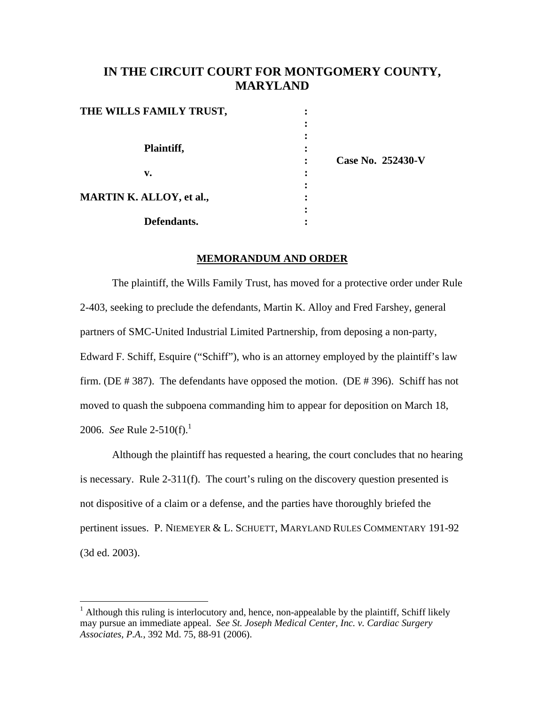## **IN THE CIRCUIT COURT FOR MONTGOMERY COUNTY, MARYLAND**

| THE WILLS FAMILY TRUST,  | ٠<br>٠ |                   |
|--------------------------|--------|-------------------|
|                          |        |                   |
|                          |        |                   |
| Plaintiff,               | ٠      |                   |
|                          |        | Case No. 252430-V |
| v.                       |        |                   |
|                          | ٠      |                   |
| MARTIN K. ALLOY, et al., |        |                   |
|                          |        |                   |
| Defendants.              |        |                   |

## **MEMORANDUM AND ORDER**

The plaintiff, the Wills Family Trust, has moved for a protective order under Rule 2-403, seeking to preclude the defendants, Martin K. Alloy and Fred Farshey, general partners of SMC-United Industrial Limited Partnership, from deposing a non-party, Edward F. Schiff, Esquire ("Schiff"), who is an attorney employed by the plaintiff's law firm. (DE # 387). The defendants have opposed the motion. (DE # 396). Schiff has not moved to quash the subpoena commanding him to appear for deposition on March 18, 2006. *See* Rule 2-510(f).<sup>1</sup>

Although the plaintiff has requested a hearing, the court concludes that no hearing is necessary. Rule 2-311(f). The court's ruling on the discovery question presented is not dispositive of a claim or a defense, and the parties have thoroughly briefed the pertinent issues. P. NIEMEYER & L. SCHUETT, MARYLAND RULES COMMENTARY 191-92 (3d ed. 2003).

<sup>&</sup>lt;sup>1</sup> Although this ruling is interlocutory and, hence, non-appealable by the plaintiff, Schiff likely may pursue an immediate appeal. *See St. Joseph Medical Center, Inc. v. Cardiac Surgery Associates, P.A.*, 392 Md. 75, 88-91 (2006).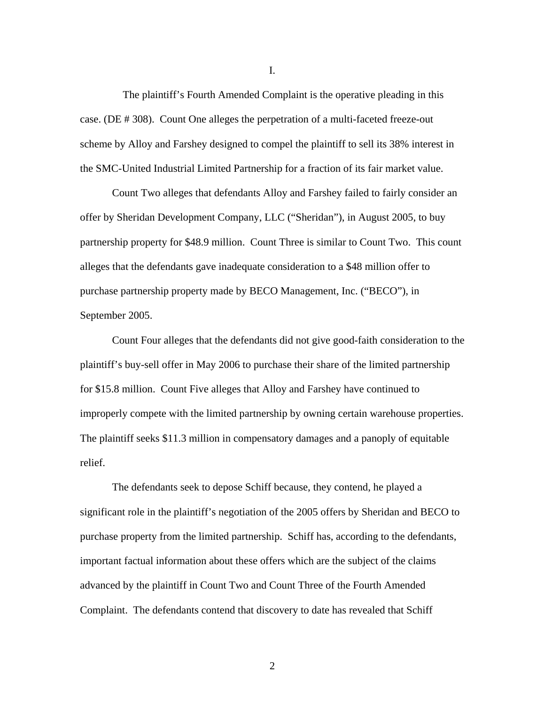The plaintiff's Fourth Amended Complaint is the operative pleading in this case. (DE # 308). Count One alleges the perpetration of a multi-faceted freeze-out scheme by Alloy and Farshey designed to compel the plaintiff to sell its 38% interest in the SMC-United Industrial Limited Partnership for a fraction of its fair market value.

Count Two alleges that defendants Alloy and Farshey failed to fairly consider an offer by Sheridan Development Company, LLC ("Sheridan"), in August 2005, to buy partnership property for \$48.9 million. Count Three is similar to Count Two. This count alleges that the defendants gave inadequate consideration to a \$48 million offer to purchase partnership property made by BECO Management, Inc. ("BECO"), in September 2005.

Count Four alleges that the defendants did not give good-faith consideration to the plaintiff's buy-sell offer in May 2006 to purchase their share of the limited partnership for \$15.8 million. Count Five alleges that Alloy and Farshey have continued to improperly compete with the limited partnership by owning certain warehouse properties. The plaintiff seeks \$11.3 million in compensatory damages and a panoply of equitable relief.

The defendants seek to depose Schiff because, they contend, he played a significant role in the plaintiff's negotiation of the 2005 offers by Sheridan and BECO to purchase property from the limited partnership. Schiff has, according to the defendants, important factual information about these offers which are the subject of the claims advanced by the plaintiff in Count Two and Count Three of the Fourth Amended Complaint. The defendants contend that discovery to date has revealed that Schiff

I.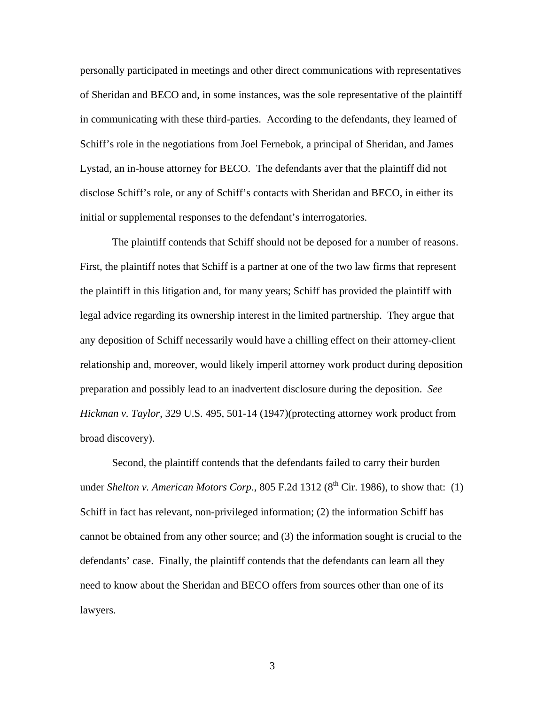personally participated in meetings and other direct communications with representatives of Sheridan and BECO and, in some instances, was the sole representative of the plaintiff in communicating with these third-parties. According to the defendants, they learned of Schiff's role in the negotiations from Joel Fernebok, a principal of Sheridan, and James Lystad, an in-house attorney for BECO. The defendants aver that the plaintiff did not disclose Schiff's role, or any of Schiff's contacts with Sheridan and BECO, in either its initial or supplemental responses to the defendant's interrogatories.

The plaintiff contends that Schiff should not be deposed for a number of reasons. First, the plaintiff notes that Schiff is a partner at one of the two law firms that represent the plaintiff in this litigation and, for many years; Schiff has provided the plaintiff with legal advice regarding its ownership interest in the limited partnership. They argue that any deposition of Schiff necessarily would have a chilling effect on their attorney-client relationship and, moreover, would likely imperil attorney work product during deposition preparation and possibly lead to an inadvertent disclosure during the deposition. *See Hickman v. Taylor*, 329 U.S. 495, 501-14 (1947)(protecting attorney work product from broad discovery).

Second, the plaintiff contends that the defendants failed to carry their burden under *Shelton v. American Motors Corp.*, 805 F.2d 1312 ( $8<sup>th</sup>$  Cir. 1986), to show that: (1) Schiff in fact has relevant, non-privileged information; (2) the information Schiff has cannot be obtained from any other source; and (3) the information sought is crucial to the defendants' case. Finally, the plaintiff contends that the defendants can learn all they need to know about the Sheridan and BECO offers from sources other than one of its lawyers.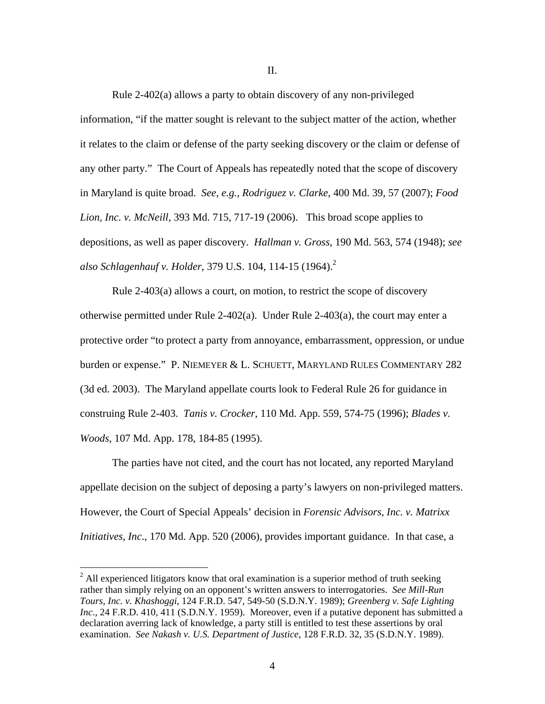Rule 2-402(a) allows a party to obtain discovery of any non-privileged information, "if the matter sought is relevant to the subject matter of the action, whether it relates to the claim or defense of the party seeking discovery or the claim or defense of any other party." The Court of Appeals has repeatedly noted that the scope of discovery in Maryland is quite broad. *See, e.g., Rodriguez v. Clarke*, 400 Md. 39, 57 (2007); *Food Lion, Inc. v. McNeill*, 393 Md. 715, 717-19 (2006). This broad scope applies to

depositions, as well as paper discovery. *Hallman v. Gross*, 190 Md. 563, 574 (1948); *see also Schlagenhauf v. Holder*, 379 U.S. 104, 114-15 (1964).2

 Rule 2-403(a) allows a court, on motion, to restrict the scope of discovery otherwise permitted under Rule 2-402(a). Under Rule 2-403(a), the court may enter a protective order "to protect a party from annoyance, embarrassment, oppression, or undue burden or expense." P. NIEMEYER & L. SCHUETT, MARYLAND RULES COMMENTARY 282 (3d ed. 2003). The Maryland appellate courts look to Federal Rule 26 for guidance in construing Rule 2-403. *Tanis v. Crocker*, 110 Md. App. 559, 574-75 (1996); *Blades v. Woods*, 107 Md. App. 178, 184-85 (1995).

The parties have not cited, and the court has not located, any reported Maryland appellate decision on the subject of deposing a party's lawyers on non-privileged matters. However, the Court of Special Appeals' decision in *Forensic Advisors, Inc. v. Matrixx Initiatives, Inc*., 170 Md. App. 520 (2006), provides important guidance. In that case, a

 $2$  All experienced litigators know that oral examination is a superior method of truth seeking rather than simply relying on an opponent's written answers to interrogatories. *See Mill-Run Tours, Inc. v. Khashoggi*, 124 F.R.D. 547, 549-50 (S.D.N.Y. 1989); *Greenberg v. Safe Lighting Inc*., 24 F.R.D. 410, 411 (S.D.N.Y. 1959). Moreover, even if a putative deponent has submitted a declaration averring lack of knowledge, a party still is entitled to test these assertions by oral examination. *See Nakash v. U.S. Department of Justice*, 128 F.R.D. 32, 35 (S.D.N.Y. 1989).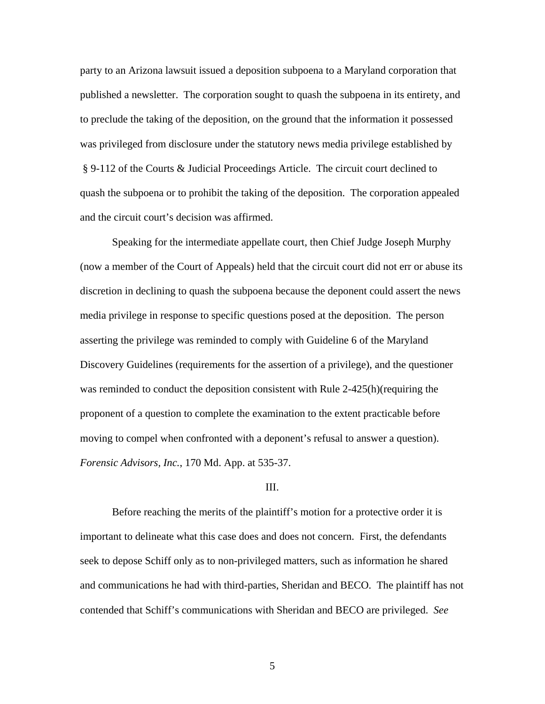party to an Arizona lawsuit issued a deposition subpoena to a Maryland corporation that published a newsletter. The corporation sought to quash the subpoena in its entirety, and to preclude the taking of the deposition, on the ground that the information it possessed was privileged from disclosure under the statutory news media privilege established by § 9-112 of the Courts & Judicial Proceedings Article. The circuit court declined to quash the subpoena or to prohibit the taking of the deposition. The corporation appealed and the circuit court's decision was affirmed.

Speaking for the intermediate appellate court, then Chief Judge Joseph Murphy (now a member of the Court of Appeals) held that the circuit court did not err or abuse its discretion in declining to quash the subpoena because the deponent could assert the news media privilege in response to specific questions posed at the deposition. The person asserting the privilege was reminded to comply with Guideline 6 of the Maryland Discovery Guidelines (requirements for the assertion of a privilege), and the questioner was reminded to conduct the deposition consistent with Rule 2-425(h)(requiring the proponent of a question to complete the examination to the extent practicable before moving to compel when confronted with a deponent's refusal to answer a question). *Forensic Advisors, Inc.*, 170 Md. App. at 535-37.

## III.

 Before reaching the merits of the plaintiff's motion for a protective order it is important to delineate what this case does and does not concern. First, the defendants seek to depose Schiff only as to non-privileged matters, such as information he shared and communications he had with third-parties, Sheridan and BECO. The plaintiff has not contended that Schiff's communications with Sheridan and BECO are privileged. *See*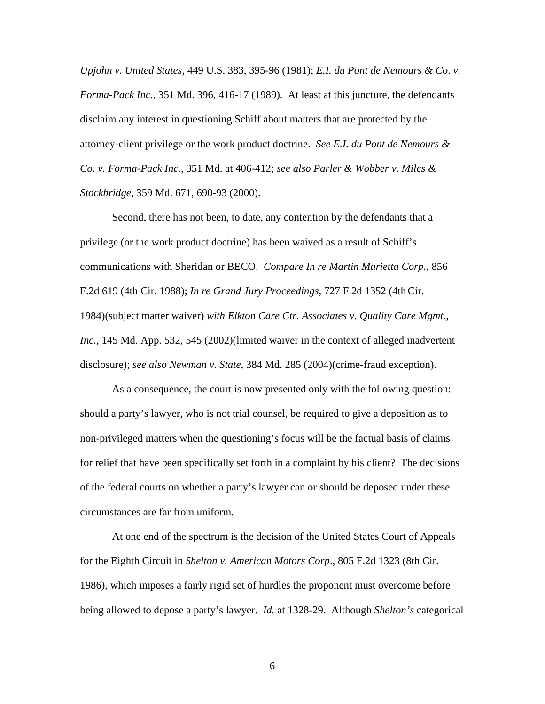*Upjohn v. United States,* 449 U.S. 383, 395-96 (1981); *E.I. du Pont de Nemours & Co*. *v. Forma-Pack Inc.*, 351 Md. 396, 416-17 (1989). At least at this juncture, the defendants disclaim any interest in questioning Schiff about matters that are protected by the attorney-client privilege or the work product doctrine. *See E.I. du Pont de Nemours & Co*. *v. Forma-Pack Inc.*, 351 Md. at 406-412; *see also Parler & Wobber v. Miles & Stockbridge*, 359 Md. 671, 690-93 (2000).

Second, there has not been, to date, any contention by the defendants that a privilege (or the work product doctrine) has been waived as a result of Schiff's communications with Sheridan or BECO. *Compare In re Martin Marietta Corp.*, 856 F.2d 619 (4th Cir. 1988); *In re Grand Jury Proceedings*, 727 F.2d 1352 (4thCir. 1984)(subject matter waiver) *with Elkton Care Ctr. Associates v. Quality Care Mgmt., Inc.,* 145 Md. App. 532, 545 (2002)(limited waiver in the context of alleged inadvertent disclosure); *see also Newman v. State*, 384 Md. 285 (2004)(crime-fraud exception).

As a consequence, the court is now presented only with the following question: should a party's lawyer, who is not trial counsel, be required to give a deposition as to non-privileged matters when the questioning's focus will be the factual basis of claims for relief that have been specifically set forth in a complaint by his client? The decisions of the federal courts on whether a party's lawyer can or should be deposed under these circumstances are far from uniform.

At one end of the spectrum is the decision of the United States Court of Appeals for the Eighth Circuit in *Shelton v. American Motors Corp*., 805 F.2d 1323 (8th Cir. 1986), which imposes a fairly rigid set of hurdles the proponent must overcome before being allowed to depose a party's lawyer. *Id.* at 1328-29. Although *Shelton's* categorical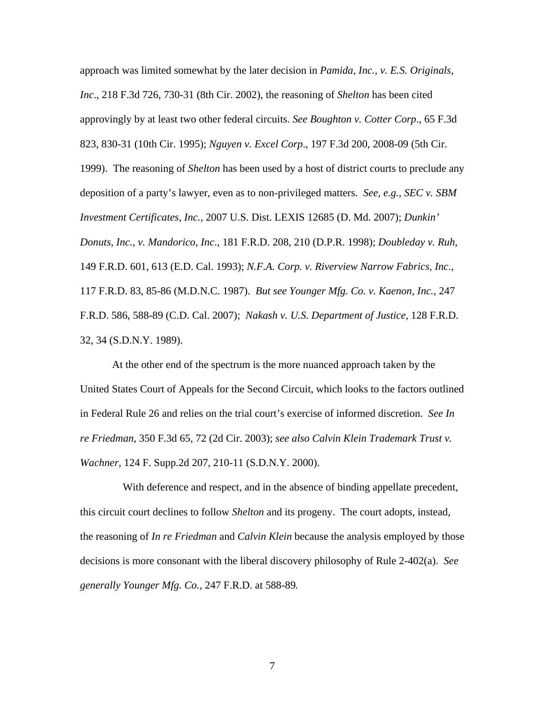approach was limited somewhat by the later decision in *Pamida, Inc., v. E.S. Originals, Inc*., 218 F.3d 726, 730-31 (8th Cir. 2002), the reasoning of *Shelton* has been cited approvingly by at least two other federal circuits. *See Boughton v. Cotter Corp*., 65 F.3d 823, 830-31 (10th Cir. 1995); *Nguyen v. Excel Corp*., 197 F.3d 200, 2008-09 (5th Cir. 1999). The reasoning of *Shelton* has been used by a host of district courts to preclude any deposition of a party's lawyer, even as to non-privileged matters. *See, e.g., SEC v. SBM Investment Certificates, Inc.,* 2007 U.S. Dist. LEXIS 12685 (D. Md. 2007); *Dunkin' Donuts, Inc., v. Mandorico, Inc*., 181 F.R.D. 208, 210 (D.P.R. 1998); *Doubleday v. Ruh*, 149 F.R.D. 601, 613 (E.D. Cal. 1993); *N.F.A. Corp. v. Riverview Narrow Fabrics, Inc*., 117 F.R.D. 83, 85-86 (M.D.N.C. 1987). *But see Younger Mfg. Co. v. Kaenon, Inc.,* 247 F.R.D. 586, 588-89 (C.D. Cal. 2007); *Nakash v. U.S. Department of Justice*, 128 F.R.D. 32, 34 (S.D.N.Y. 1989).

At the other end of the spectrum is the more nuanced approach taken by the United States Court of Appeals for the Second Circuit, which looks to the factors outlined in Federal Rule 26 and relies on the trial court's exercise of informed discretion. *See In re Friedman*, 350 F.3d 65, 72 (2d Cir. 2003); *see also Calvin Klein Trademark Trust v. Wachner*, 124 F. Supp.2d 207, 210-11 (S.D.N.Y. 2000).

 With deference and respect, and in the absence of binding appellate precedent, this circuit court declines to follow *Shelton* and its progeny. The court adopts, instead, the reasoning of *In re Friedman* and *Calvin Klein* because the analysis employed by those decisions is more consonant with the liberal discovery philosophy of Rule 2-402(a). *See generally Younger Mfg. Co.,* 247 F.R.D. at 588-89*.*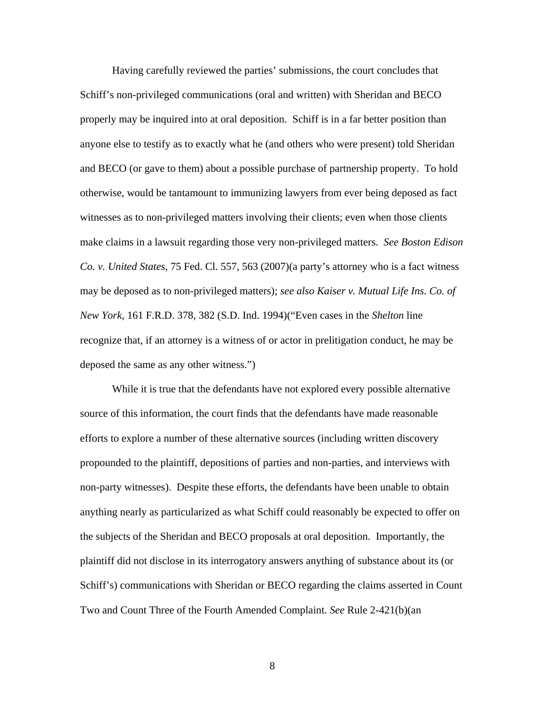Having carefully reviewed the parties' submissions, the court concludes that Schiff's non-privileged communications (oral and written) with Sheridan and BECO properly may be inquired into at oral deposition. Schiff is in a far better position than anyone else to testify as to exactly what he (and others who were present) told Sheridan and BECO (or gave to them) about a possible purchase of partnership property. To hold otherwise, would be tantamount to immunizing lawyers from ever being deposed as fact witnesses as to non-privileged matters involving their clients; even when those clients make claims in a lawsuit regarding those very non-privileged matters. *See Boston Edison Co. v. United States*, 75 Fed. Cl. 557, 563 (2007)(a party's attorney who is a fact witness may be deposed as to non-privileged matters); *see also Kaiser v. Mutual Life Ins. Co. of New York*, 161 F.R.D. 378, 382 (S.D. Ind. 1994)("Even cases in the *Shelton* line recognize that, if an attorney is a witness of or actor in prelitigation conduct, he may be deposed the same as any other witness.")

While it is true that the defendants have not explored every possible alternative source of this information, the court finds that the defendants have made reasonable efforts to explore a number of these alternative sources (including written discovery propounded to the plaintiff, depositions of parties and non-parties, and interviews with non-party witnesses). Despite these efforts, the defendants have been unable to obtain anything nearly as particularized as what Schiff could reasonably be expected to offer on the subjects of the Sheridan and BECO proposals at oral deposition. Importantly, the plaintiff did not disclose in its interrogatory answers anything of substance about its (or Schiff's) communications with Sheridan or BECO regarding the claims asserted in Count Two and Count Three of the Fourth Amended Complaint. *See* Rule 2-421(b)(an